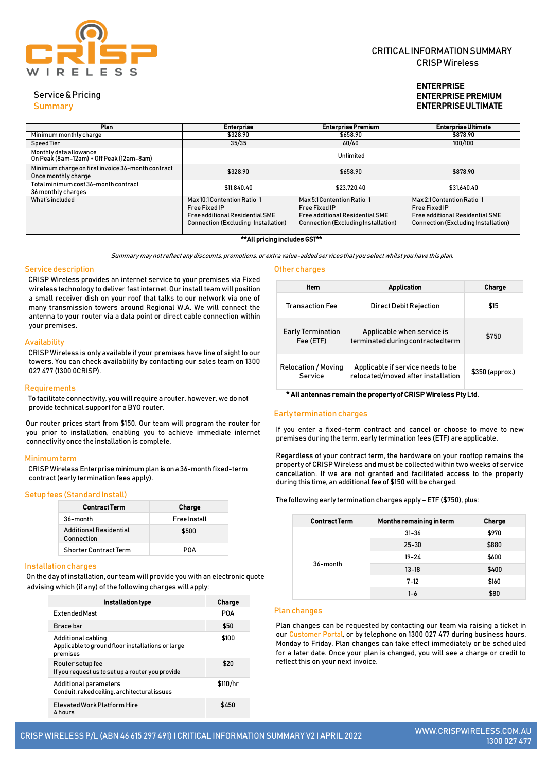

# CRITICALINFORMATIONSUMMARY CRISPWireless

# ENTERPRISE ENTERPRISE PREMIUM ENTERPRISE ULTIMATE

Service&Pricing

Summary

| <b>Plan</b>                                                              | <b>Enterprise</b>                                                                                                             | <b>Enterprise Premium</b>                                                                                                    | <b>Enterprise Ultimate</b>                                                                                                          |
|--------------------------------------------------------------------------|-------------------------------------------------------------------------------------------------------------------------------|------------------------------------------------------------------------------------------------------------------------------|-------------------------------------------------------------------------------------------------------------------------------------|
| Minimum monthly charge                                                   | \$328.90                                                                                                                      | \$658.90                                                                                                                     | \$878.90                                                                                                                            |
| Speed Tier                                                               | 35/35                                                                                                                         | 60/60                                                                                                                        | 100/100                                                                                                                             |
| Monthly data allowance<br>On Peak (8am-12am) + Off Peak (12am-8am)       |                                                                                                                               | Unlimited                                                                                                                    |                                                                                                                                     |
| Minimum charge on first invoice 36-month contract<br>Once monthly charge | \$328.90                                                                                                                      | \$658.90                                                                                                                     | \$878.90                                                                                                                            |
| Total minimum cost 36-month contract<br>36 monthly charges               | \$11,840.40                                                                                                                   | \$23,720.40                                                                                                                  | \$31.640.40                                                                                                                         |
| What's included                                                          | Max 10:1 Contention Ratio 1<br><b>Free Fixed IP</b><br>Free additional Residential SME<br>Connection (Excluding Installation) | Max 5:1 Contention Ratio 1<br>Free Fixed IP<br><b>Free additional Residential SME</b><br>Connection (Excluding Installation) | Max 2:1 Contention Ratio 1<br><b>Free Fixed IP</b><br><b>Free additional Residential SME</b><br>Connection (Excluding Installation) |

## \*\*All pricing includes GST\*\*

Summary may not reflect any discounts, promotions, or extra value-added services that you select whilst you have this plan.

Other charges

## Service description

CRISP Wireless provides an internet service to your premises via Fixed wireless technology to deliver fastinternet. Our install team will position a small receiver dish on your roof that talks to our network via one of many transmission towers around Regional W.A. We will connect the antenna to your router via a data point or direct cable connection within your premises.

## **Availability**

CRISP Wireless is only available if your premises have line of sight to our towers. You can check availability by contacting our sales team on 1300 027 477 (1300 0CRISP).

### Requirements

To facilitate connectivity, you will require a router, however, we do not provide technical support for a BYO router.

Our router prices start from \$150. Our team will program the router for you prior to installation, enabling you to achieve immediate internet connectivity once the installation is complete.

## Minimum term

CRISP Wireless Enterpriseminimum plan is on a36-month fixed-term contract(early termination fees apply).

## Setup fees (Standard Install)

| <b>Contract Term</b>                 | Charge              |
|--------------------------------------|---------------------|
| $36$ -month                          | <b>Free Install</b> |
| Additional Residential<br>Connection | \$500               |
| <b>Shorter Contract Term</b>         | PNA                 |

### Installation charges

On the day ofinstallation, our team will provide you with an electronic quote advising which (if any) of the following charges will apply:

| Installation type                                                                   | Charge   |
|-------------------------------------------------------------------------------------|----------|
| <b>Extended Mast</b>                                                                | POA      |
| Brace bar                                                                           | \$50     |
| Additional cabling<br>Applicable to ground floor installations or large<br>premises | \$100    |
| Router setup fee<br>If you request us to set up a router you provide                | \$20     |
| Additional parameters<br>Conduit, raked ceiling, architectural issues               | \$110/hr |
| <b>Flevated Work Platform Hire</b><br>4 hours                                       | \$450    |

| ltem                                  | <b>Application</b>                                                      | Charge           |
|---------------------------------------|-------------------------------------------------------------------------|------------------|
| <b>Transaction Fee</b>                | <b>Direct Debit Rejection</b>                                           | \$15             |
| <b>Early Termination</b><br>Fee (ETF) | Applicable when service is<br>terminated during contracted term         | \$750            |
| <b>Relocation / Moving</b><br>Service | Applicable if service needs to be<br>relocated/moved after installation | $$350$ (approx.) |

## \* All antennas remain the property of CRISP Wireless Pty Ltd.

#### Early termination charges

If you enter a fixed-term contract and cancel or choose to move to new premises during the term, early termination fees (ETF) are applicable.

Regardless of your contract term, the hardware on your rooftop remains the property of CRISP Wireless and must be collected within two weeks of service cancellation. If we are not granted and facilitated access to the property during this time, an additional fee of \$150 will be charged.

### The following early termination charges apply – ETF (\$750), plus:

| <b>ContractTerm</b> | Months remaining in term | Charge |
|---------------------|--------------------------|--------|
|                     | $31 - 36$                | \$970  |
|                     | $25 - 30$                | \$880  |
|                     | $19 - 24$                | \$600  |
| 36-month            | $13 - 18$                | \$400  |
|                     | $7 - 12$                 | \$160  |
|                     | $1 - 6$                  | \$80   |

## Plan changes

Plan changes can be requested by contacting our team via raising a ticket in o[ur](https://portal.crispwireless.com.au/portal/login) [Customer](https://portal.crispwireless.com.au/portal/login) P[or](https://portal.crispwireless.com.au/portal/login)tal, or by telephone on 1300 027 477 during business hours, Monday to Friday. Plan changes can take effect immediately or be scheduled for a later date. Once your plan is changed, you will see a charge or credit to reflect this on your next invoice.